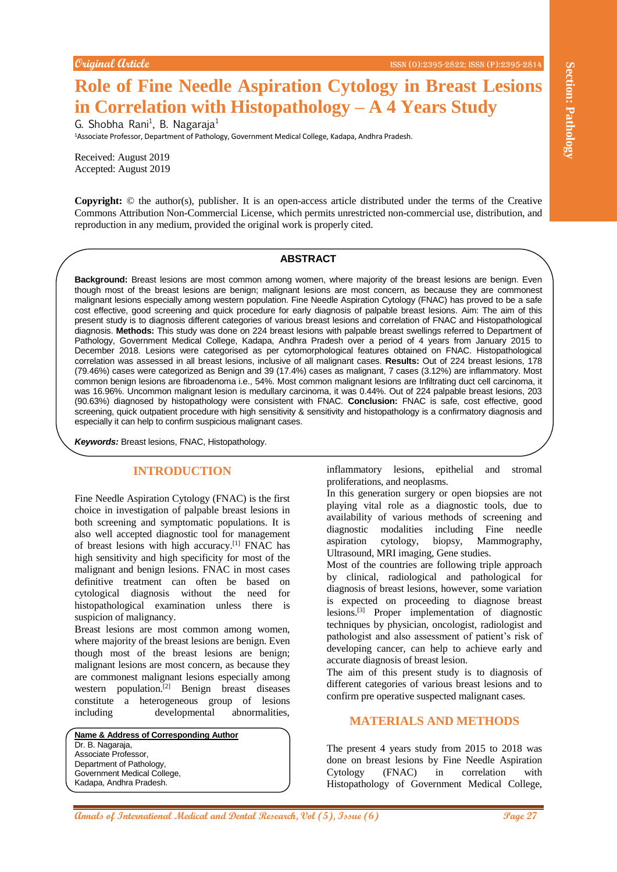# **Role of Fine Needle Aspiration Cytology in Breast Lesions in Correlation with Histopathology – A 4 Years Study**

G. Shobha Rani<sup>1</sup>, B. Nagaraja<sup>1</sup> <sup>1</sup>Associate Professor, Department of Pathology, Government Medical College, Kadapa, Andhra Pradesh.

Received: August 2019 Accepted: August 2019

**Copyright:** © the author(s), publisher. It is an open-access article distributed under the terms of the Creative Commons Attribution Non-Commercial License, which permits unrestricted non-commercial use, distribution, and reproduction in any medium, provided the original work is properly cited.

#### **ABSTRACT**

**APARTAIN CONTROL CONTROL CONTROL CONTROL CONTROL CONTROL CONTROL CONTROL CONTROL CONTROL CONTROL CONTROL CONTROL CONTROL CONTROL CONTROL CONTROL CONTROL CONTROL CONTROL CONTROL CONTROL CONTROL CONTROL CONTROL CONTROL CONT Background:** Breast lesions are most common among women, where majority of the breast lesions are benign. Even though most of the breast lesions are benign; malignant lesions are most concern, as because they are commonest malignant lesions especially among western population. Fine Needle Aspiration Cytology (FNAC) has proved to be a safe cost effective, good screening and quick procedure for early diagnosis of palpable breast lesions. Aim: The aim of this present study is to diagnosis different categories of various breast lesions and correlation of FNAC and Histopathological diagnosis. **Methods:** This study was done on 224 breast lesions with palpable breast swellings referred to Department of Pathology, Government Medical College, Kadapa, Andhra Pradesh over a period of 4 years from January 2015 to December 2018. Lesions were categorised as per cytomorphological features obtained on FNAC. Histopathological correlation was assessed in all breast lesions, inclusive of all malignant cases. **Results:** Out of 224 breast lesions, 178 (79.46%) cases were categorized as Benign and 39 (17.4%) cases as malignant, 7 cases (3.12%) are inflammatory. Most common benign lesions are fibroadenoma i.e., 54%. Most common malignant lesions are Infiltrating duct cell carcinoma, it was 16.96%. Uncommon malignant lesion is medullary carcinoma, it was 0.44%. Out of 224 palpable breast lesions, 203 (90.63%) diagnosed by histopathology were consistent with FNAC. **Conclusion:** FNAC is safe, cost effective, good screening, quick outpatient procedure with high sensitivity & sensitivity and histopathology is a confirmatory diagnosis and especially it can help to confirm suspicious malignant cases.

*Keywords:* Breast lesions, FNAC, Histopathology.

# **INTRODUCTION**

Fine Needle Aspiration Cytology (FNAC) is the first choice in investigation of palpable breast lesions in both screening and symptomatic populations. It is also well accepted diagnostic tool for management of breast lesions with high accuracy.<sup>[1]</sup> FNAC has high sensitivity and high specificity for most of the malignant and benign lesions. FNAC in most cases definitive treatment can often be based on cytological diagnosis without the need for histopathological examination unless there is suspicion of malignancy.

Breast lesions are most common among women, where majority of the breast lesions are benign. Even though most of the breast lesions are benign; malignant lesions are most concern, as because they are commonest malignant lesions especially among western population.[2] Benign breast diseases constitute a heterogeneous group of lesions including developmental abnormalities,

**Name & Address of Corresponding Author** Dr. B. Nagaraja, Associate Professor, Department of Pathology, Government Medical College, Kadapa, Andhra Pradesh.

inflammatory lesions, epithelial and stromal proliferations, and neoplasms.

In this generation surgery or open biopsies are not playing vital role as a diagnostic tools, due to availability of various methods of screening and diagnostic modalities including Fine needle aspiration cytology, biopsy, Mammography, Ultrasound, MRI imaging, Gene studies.

Most of the countries are following triple approach by clinical, radiological and pathological for diagnosis of breast lesions, however, some variation is expected on proceeding to diagnose breast lesions.[3] Proper implementation of diagnostic techniques by physician, oncologist, radiologist and pathologist and also assessment of patient's risk of developing cancer, can help to achieve early and accurate diagnosis of breast lesion.

The aim of this present study is to diagnosis of different categories of various breast lesions and to confirm pre operative suspected malignant cases.

#### **MATERIALS AND METHODS**

The present 4 years study from 2015 to 2018 was done on breast lesions by Fine Needle Aspiration Cytology (FNAC) in correlation with Histopathology of Government Medical College,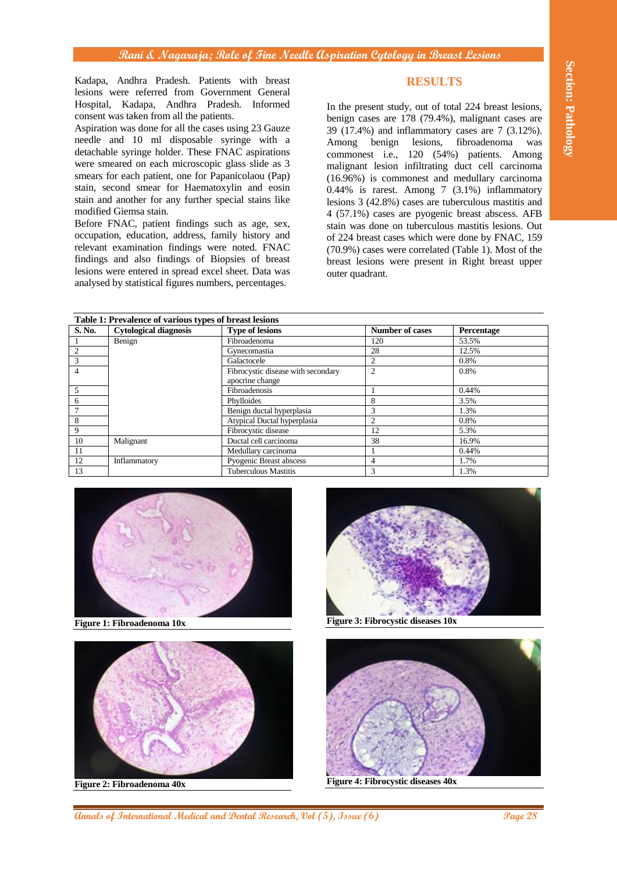# **RESULTS**

| Kadapa, Andhra Pradesh. Patients with breast<br>lesions were referred from Government General<br>Hospital, Kadapa, Andhra Pradesh. Informed<br>consent was taken from all the patients.<br>Aspiration was done for all the cases using 23 Gauze<br>needle and 10 ml disposable syringe with a<br>detachable syringe holder. These FNAC aspirations<br>were smeared on each microscopic glass slide as 3<br>smears for each patient, one for Papanicolaou (Pap)<br>stain, second smear for Haematoxylin and eosin<br>stain and another for any further special stains like<br>modified Giemsa stain.<br>Before FNAC, patient findings such as age, sex,<br>occupation, education, address, family history and<br>relevant examination findings were noted. FNAC<br>findings and also findings of Biopsies of breast<br>lesions were entered in spread excel sheet. Data was<br>analysed by statistical figures numbers, percentages. |                                                                                    |                                                        |  | <b>RESULTS</b><br>In the present study, out of total 224 breast lesions,<br>benign cases are 178 (79.4%), malignant cases are<br>39 (17.4%) and inflammatory cases are 7 (3.12%).<br>Among benign lesions, fibroadenoma<br>was<br>commonest i.e., 120 (54%) patients. Among<br>malignant lesion infiltrating duct cell carcinoma<br>(16.96%) is commonest and medullary carcinoma<br>$0.44\%$ is rarest. Among 7 (3.1%) inflammatory<br>lesions 3 (42.8%) cases are tuberculous mastitis and<br>4 (57.1%) cases are pyogenic breast abscess. AFB<br>stain was done on tuberculous mastitis lesions. Out<br>of 224 breast cases which were done by FNAC, 159<br>(70.9%) cases were correlated (Table 1). Most of the<br>breast lesions were present in Right breast upper<br>outer quadrant. |              |  |  |
|-------------------------------------------------------------------------------------------------------------------------------------------------------------------------------------------------------------------------------------------------------------------------------------------------------------------------------------------------------------------------------------------------------------------------------------------------------------------------------------------------------------------------------------------------------------------------------------------------------------------------------------------------------------------------------------------------------------------------------------------------------------------------------------------------------------------------------------------------------------------------------------------------------------------------------------|------------------------------------------------------------------------------------|--------------------------------------------------------|--|---------------------------------------------------------------------------------------------------------------------------------------------------------------------------------------------------------------------------------------------------------------------------------------------------------------------------------------------------------------------------------------------------------------------------------------------------------------------------------------------------------------------------------------------------------------------------------------------------------------------------------------------------------------------------------------------------------------------------------------------------------------------------------------------|--------------|--|--|
|                                                                                                                                                                                                                                                                                                                                                                                                                                                                                                                                                                                                                                                                                                                                                                                                                                                                                                                                     | Table 1: Prevalence of various types of breast lesions                             |                                                        |  |                                                                                                                                                                                                                                                                                                                                                                                                                                                                                                                                                                                                                                                                                                                                                                                             |              |  |  |
| S. No.                                                                                                                                                                                                                                                                                                                                                                                                                                                                                                                                                                                                                                                                                                                                                                                                                                                                                                                              | <b>Cytological diagnosis</b>                                                       | <b>Type of lesions</b>                                 |  | <b>Number of cases</b>                                                                                                                                                                                                                                                                                                                                                                                                                                                                                                                                                                                                                                                                                                                                                                      | Percentage   |  |  |
| $\mathbf{1}$                                                                                                                                                                                                                                                                                                                                                                                                                                                                                                                                                                                                                                                                                                                                                                                                                                                                                                                        | Benign                                                                             | Fibroadenoma                                           |  | 120                                                                                                                                                                                                                                                                                                                                                                                                                                                                                                                                                                                                                                                                                                                                                                                         | 53.5%        |  |  |
| $\overline{c}$                                                                                                                                                                                                                                                                                                                                                                                                                                                                                                                                                                                                                                                                                                                                                                                                                                                                                                                      |                                                                                    | Gynecomastia                                           |  | 28                                                                                                                                                                                                                                                                                                                                                                                                                                                                                                                                                                                                                                                                                                                                                                                          | 12.5%        |  |  |
| 3                                                                                                                                                                                                                                                                                                                                                                                                                                                                                                                                                                                                                                                                                                                                                                                                                                                                                                                                   |                                                                                    | Galactocele                                            |  | $\overline{c}$                                                                                                                                                                                                                                                                                                                                                                                                                                                                                                                                                                                                                                                                                                                                                                              | 0.8%         |  |  |
| $\overline{4}$                                                                                                                                                                                                                                                                                                                                                                                                                                                                                                                                                                                                                                                                                                                                                                                                                                                                                                                      |                                                                                    | Fibrocystic disease with secondary                     |  | $\overline{c}$                                                                                                                                                                                                                                                                                                                                                                                                                                                                                                                                                                                                                                                                                                                                                                              | 0.8%         |  |  |
| 5                                                                                                                                                                                                                                                                                                                                                                                                                                                                                                                                                                                                                                                                                                                                                                                                                                                                                                                                   |                                                                                    | apocrine change<br>Fibroadenosis                       |  | $\mathbf{1}$                                                                                                                                                                                                                                                                                                                                                                                                                                                                                                                                                                                                                                                                                                                                                                                | 0.44%        |  |  |
| 6                                                                                                                                                                                                                                                                                                                                                                                                                                                                                                                                                                                                                                                                                                                                                                                                                                                                                                                                   |                                                                                    | Phylloides                                             |  | 8                                                                                                                                                                                                                                                                                                                                                                                                                                                                                                                                                                                                                                                                                                                                                                                           | 3.5%         |  |  |
| 7                                                                                                                                                                                                                                                                                                                                                                                                                                                                                                                                                                                                                                                                                                                                                                                                                                                                                                                                   |                                                                                    | Benign ductal hyperplasia                              |  | 3                                                                                                                                                                                                                                                                                                                                                                                                                                                                                                                                                                                                                                                                                                                                                                                           | 1.3%         |  |  |
| 8                                                                                                                                                                                                                                                                                                                                                                                                                                                                                                                                                                                                                                                                                                                                                                                                                                                                                                                                   |                                                                                    | Atypical Ductal hyperplasia                            |  | $\overline{2}$                                                                                                                                                                                                                                                                                                                                                                                                                                                                                                                                                                                                                                                                                                                                                                              | 0.8%         |  |  |
| 9                                                                                                                                                                                                                                                                                                                                                                                                                                                                                                                                                                                                                                                                                                                                                                                                                                                                                                                                   |                                                                                    | Fibrocystic disease                                    |  | 12                                                                                                                                                                                                                                                                                                                                                                                                                                                                                                                                                                                                                                                                                                                                                                                          | 5.3%         |  |  |
| 10                                                                                                                                                                                                                                                                                                                                                                                                                                                                                                                                                                                                                                                                                                                                                                                                                                                                                                                                  | Malignant                                                                          | Ductal cell carcinoma                                  |  | 38                                                                                                                                                                                                                                                                                                                                                                                                                                                                                                                                                                                                                                                                                                                                                                                          | 16.9%        |  |  |
| 11                                                                                                                                                                                                                                                                                                                                                                                                                                                                                                                                                                                                                                                                                                                                                                                                                                                                                                                                  |                                                                                    | Medullary carcinoma                                    |  | 1                                                                                                                                                                                                                                                                                                                                                                                                                                                                                                                                                                                                                                                                                                                                                                                           | 0.44%        |  |  |
| 12<br>13                                                                                                                                                                                                                                                                                                                                                                                                                                                                                                                                                                                                                                                                                                                                                                                                                                                                                                                            | Inflammatory                                                                       | Pyogenic Breast abscess<br><b>Tuberculous Mastitis</b> |  | $\overline{4}$<br>3                                                                                                                                                                                                                                                                                                                                                                                                                                                                                                                                                                                                                                                                                                                                                                         | 1.7%<br>1.3% |  |  |
|                                                                                                                                                                                                                                                                                                                                                                                                                                                                                                                                                                                                                                                                                                                                                                                                                                                                                                                                     | Figure 1: Fibroadenoma 10x                                                         |                                                        |  | Figure 3: Fibrocystic diseases 10x                                                                                                                                                                                                                                                                                                                                                                                                                                                                                                                                                                                                                                                                                                                                                          |              |  |  |
| Figure 2: Fibroadenoma 40x                                                                                                                                                                                                                                                                                                                                                                                                                                                                                                                                                                                                                                                                                                                                                                                                                                                                                                          |                                                                                    |                                                        |  | Figure 4: Fibrocystic diseases 40x                                                                                                                                                                                                                                                                                                                                                                                                                                                                                                                                                                                                                                                                                                                                                          |              |  |  |
|                                                                                                                                                                                                                                                                                                                                                                                                                                                                                                                                                                                                                                                                                                                                                                                                                                                                                                                                     | Page 28<br>Annals of International Medical and Dental Research, Vol (5), Issue (6) |                                                        |  |                                                                                                                                                                                                                                                                                                                                                                                                                                                                                                                                                                                                                                                                                                                                                                                             |              |  |  |





**Figure 2: Fibroadenoma 40x**



**Figure 3: Fibrocystic diseases 10x**



**Figure 4: Fibrocystic diseases 40x**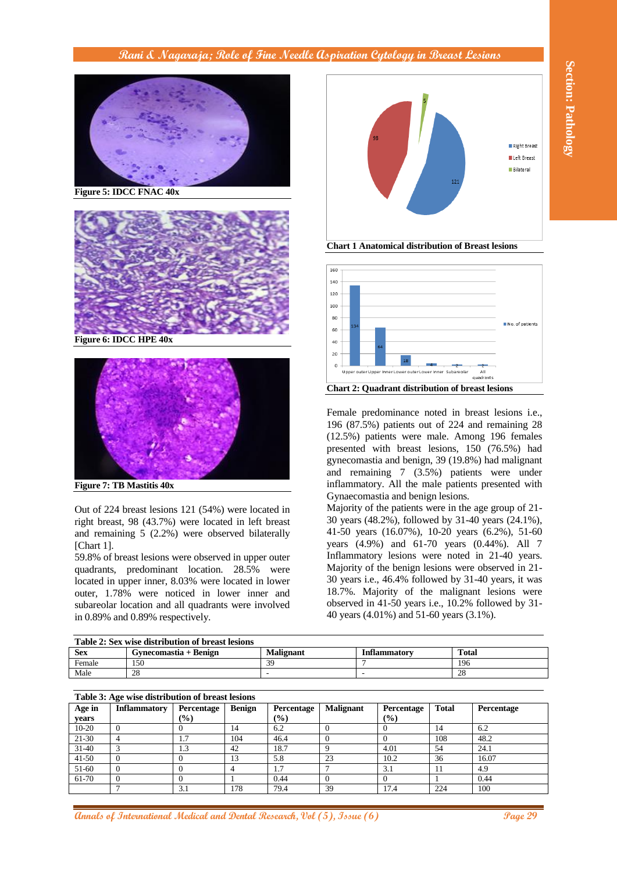

**Figure 5: IDCC FNAC 40x**



**Figure 6: IDCC HPE 40x**





**Chart 1 Anatomical distribution of Breast lesions**



| Table 2: Sex wise distribution of breast lesions |                       |                  |                     |              |  |
|--------------------------------------------------|-----------------------|------------------|---------------------|--------------|--|
| <b>Sex</b>                                       | Gynecomastia + Benign | <b>Malignant</b> | <b>Inflammatory</b> | <b>Total</b> |  |
| Female                                           | 150                   | 3q               |                     | 196          |  |
| Male                                             | 28                    |                  |                     | 28           |  |
|                                                  |                       |                  |                     |              |  |

| Table 3: Age wise distribution of breast lesions |   |  |  |  |
|--------------------------------------------------|---|--|--|--|
|                                                  | . |  |  |  |

| <b>Figure 5: IDCC FNAC 40x</b>                                                                                                                                                                                                                                                                                                                                                                                                                                                              | Right Breast<br>Left Breast<br><b>Bilateral</b><br>121                                                                                                                                                                                                                                                                                                                                                                                                                                                                              |
|---------------------------------------------------------------------------------------------------------------------------------------------------------------------------------------------------------------------------------------------------------------------------------------------------------------------------------------------------------------------------------------------------------------------------------------------------------------------------------------------|-------------------------------------------------------------------------------------------------------------------------------------------------------------------------------------------------------------------------------------------------------------------------------------------------------------------------------------------------------------------------------------------------------------------------------------------------------------------------------------------------------------------------------------|
| Figure 6: IDCC HPE 40x                                                                                                                                                                                                                                                                                                                                                                                                                                                                      | <b>Chart 1 Anatomical distribution of Breast lesions</b><br>160<br>140<br>120<br>100<br>80<br>No. of patients<br>60<br>40<br>20                                                                                                                                                                                                                                                                                                                                                                                                     |
|                                                                                                                                                                                                                                                                                                                                                                                                                                                                                             | Upper outer Upper Inner Lower outer Lower Inner Subareolar<br>quadrants<br><b>Chart 2: Quadrant distribution of breast lesions</b><br>Female predominance noted in breast lesions i.e.,                                                                                                                                                                                                                                                                                                                                             |
| <b>Figure 7: TB Mastitis 40x</b>                                                                                                                                                                                                                                                                                                                                                                                                                                                            | 196 (87.5%) patients out of 224 and remaining 28<br>(12.5%) patients were male. Among 196 females<br>presented with breast lesions, 150 (76.5%) had<br>gynecomastia and benign, 39 (19.8%) had malignant<br>and remaining 7 (3.5%) patients were under<br>inflammatory. All the male patients presented with<br>Gynaecomastia and benign lesions.                                                                                                                                                                                   |
| Out of 224 breast lesions 121 (54%) were located in<br>right breast, 98 (43.7%) were located in left breast<br>and remaining $5$ $(2.2\%)$ were observed bilaterally<br>[Chart 1].<br>59.8% of breast lesions were observed in upper outer<br>quadrants, predominant location. 28.5% were<br>located in upper inner, 8.03% were located in lower<br>outer, 1.78% were noticed in lower inner and<br>subareolar location and all quadrants were involved<br>in 0.89% and 0.89% respectively. | Majority of the patients were in the age group of 21-<br>30 years (48.2%), followed by 31-40 years (24.1%),<br>41-50 years (16.07%), 10-20 years (6.2%), 51-60<br>years (4.9%) and 61-70 years (0.44%). All 7<br>Inflammatory lesions were noted in 21-40 years.<br>Majority of the benign lesions were observed in 21-<br>30 years i.e., 46.4% followed by 31-40 years, it was<br>18.7%. Majority of the malignant lesions were<br>observed in 41-50 years i.e., 10.2% followed by 31-<br>40 years (4.01%) and 51-60 years (3.1%). |
| Table 2: Sex wise distribution of breast lesions<br><b>Sex</b><br>Gynecomastia + Benign<br><b>Malignant</b><br>Female<br>39<br>150<br>Male<br>28<br>$\frac{1}{2}$                                                                                                                                                                                                                                                                                                                           | <b>Inflammatory</b><br><b>Total</b><br>7<br>196<br>28<br>$\blacksquare$                                                                                                                                                                                                                                                                                                                                                                                                                                                             |
| Table 3: Age wise distribution of breast lesions                                                                                                                                                                                                                                                                                                                                                                                                                                            |                                                                                                                                                                                                                                                                                                                                                                                                                                                                                                                                     |
| <b>Inflammatory</b><br>Age in<br>Percentage<br><b>Benign</b><br>Percentage                                                                                                                                                                                                                                                                                                                                                                                                                  | <b>Malignant</b><br><b>Total</b><br>Percentage<br><b>Percentage</b>                                                                                                                                                                                                                                                                                                                                                                                                                                                                 |
| $(\%)$<br>$(\%)$<br>years<br>$\theta$<br>6.2<br>$10 - 20$<br>$\overline{0}$<br>14                                                                                                                                                                                                                                                                                                                                                                                                           | $(\%)$<br>$\overline{0}$<br>$\theta$<br>14<br>6.2                                                                                                                                                                                                                                                                                                                                                                                                                                                                                   |
| 104<br>21-30<br>$\overline{4}$<br>1.7<br>46.4                                                                                                                                                                                                                                                                                                                                                                                                                                               | $\boldsymbol{0}$<br>108<br>48.2<br>$\theta$                                                                                                                                                                                                                                                                                                                                                                                                                                                                                         |
| 18.7<br>$31 - 40$<br>3<br>1.3<br>42                                                                                                                                                                                                                                                                                                                                                                                                                                                         | 9<br>4.01<br>54<br>24.1                                                                                                                                                                                                                                                                                                                                                                                                                                                                                                             |
| $41 - 50$<br>$\theta$<br>$\mathbf{0}$<br>13<br>5.8                                                                                                                                                                                                                                                                                                                                                                                                                                          | 23<br>10.2<br>36<br>16.07                                                                                                                                                                                                                                                                                                                                                                                                                                                                                                           |
| $\overline{1.7}$<br>$\mathbf{0}$<br>51-60<br>$\theta$<br>$\overline{4}$                                                                                                                                                                                                                                                                                                                                                                                                                     | $\overline{7}$<br>3.1<br>4.9<br>11                                                                                                                                                                                                                                                                                                                                                                                                                                                                                                  |
| $\boldsymbol{0}$<br>$\boldsymbol{0}$<br>$\mathbf{1}$<br>61-70<br>0.44<br>$\overline{7}$<br>3.1<br>178<br>79.4                                                                                                                                                                                                                                                                                                                                                                               | $\mathbf{0}$<br>$\boldsymbol{0}$<br>$\mathbf{1}$<br>0.44<br>39<br>17.4<br>224<br>100                                                                                                                                                                                                                                                                                                                                                                                                                                                |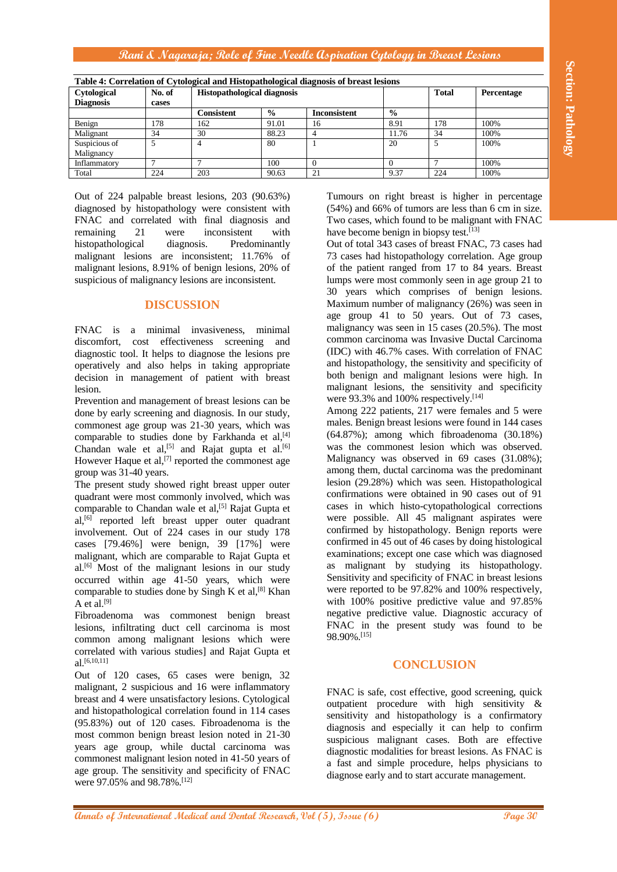| Table 4: Correlation of Cytological and Histopathological diagnosis of breast lesions |        |                                    |               |                     |               |              |            |
|---------------------------------------------------------------------------------------|--------|------------------------------------|---------------|---------------------|---------------|--------------|------------|
| Cytological                                                                           | No. of | <b>Histopathological diagnosis</b> |               |                     |               | <b>Total</b> | Percentage |
| <b>Diagnosis</b>                                                                      | cases  |                                    |               |                     |               |              |            |
|                                                                                       |        | Consistent                         | $\frac{0}{0}$ | <b>Inconsistent</b> | $\frac{6}{6}$ |              |            |
| Benign                                                                                | 178    | 162                                | 91.01         | 16                  | 8.91          | 178          | 100%       |
| Malignant                                                                             | 34     | 30                                 | 88.23         |                     | 11.76         | 34           | 100%       |
| Suspicious of                                                                         |        | 4                                  | 80            |                     | 20            |              | 100%       |
| Malignancy                                                                            |        |                                    |               |                     |               |              |            |
| Inflammatory                                                                          |        |                                    | 100           | $\theta$            |               |              | 100%       |
| Total                                                                                 | 224    | 203                                | 90.63         | 21                  | 9.37          | 224          | 100%       |

Out of 224 palpable breast lesions, 203 (90.63%) diagnosed by histopathology were consistent with FNAC and correlated with final diagnosis and remaining 21 were inconsistent with histopathological diagnosis. Predominantly malignant lesions are inconsistent; 11.76% of malignant lesions, 8.91% of benign lesions, 20% of suspicious of malignancy lesions are inconsistent.

# **DISCUSSION**

FNAC is a minimal invasiveness, minimal discomfort, cost effectiveness screening and diagnostic tool. It helps to diagnose the lesions pre operatively and also helps in taking appropriate decision in management of patient with breast lesion.

Prevention and management of breast lesions can be done by early screening and diagnosis. In our study, commonest age group was 21-30 years, which was comparable to studies done by Farkhanda et al,<sup>[4]</sup> Chandan wale et al,<sup>[5]</sup> and Rajat gupta et al.<sup>[6]</sup> However Haque et al,<sup>[7]</sup> reported the commonest age group was 31-40 years.

The present study showed right breast upper outer quadrant were most commonly involved, which was comparable to Chandan wale et al,<sup>[5]</sup> Rajat Gupta et  $al.<sup>[6]</sup>$  reported left breast upper outer quadrant involvement. Out of 224 cases in our study 178 cases [79.46%] were benign, 39 [17%] were malignant, which are comparable to Rajat Gupta et al. [6] Most of the malignant lesions in our study occurred within age 41-50 years, which were comparable to studies done by Singh K et al,  $[8]$  Khan A et al.<sup>[9]</sup>

Fibroadenoma was commonest benign breast lesions, infiltrating duct cell carcinoma is most common among malignant lesions which were correlated with various studies] and Rajat Gupta et al.[6,10,11]

Out of 120 cases, 65 cases were benign, 32 malignant, 2 suspicious and 16 were inflammatory breast and 4 were unsatisfactory lesions. Cytological and histopathological correlation found in 114 cases (95.83%) out of 120 cases. Fibroadenoma is the most common benign breast lesion noted in 21-30 years age group, while ductal carcinoma was commonest malignant lesion noted in 41-50 years of age group. The sensitivity and specificity of FNAC were 97.05% and 98.78%.[12]

Tumours on right breast is higher in percentage (54%) and 66% of tumors are less than 6 cm in size. Two cases, which found to be malignant with FNAC have become benign in biopsy test.<sup>[13]</sup>

Out of total 343 cases of breast FNAC, 73 cases had 73 cases had histopathology correlation. Age group of the patient ranged from 17 to 84 years. Breast lumps were most commonly seen in age group 21 to 30 years which comprises of benign lesions. Maximum number of malignancy (26%) was seen in age group 41 to 50 years. Out of 73 cases, malignancy was seen in 15 cases (20.5%). The most common carcinoma was Invasive Ductal Carcinoma (IDC) with 46.7% cases. With correlation of FNAC and histopathology, the sensitivity and specificity of both benign and malignant lesions were high. In malignant lesions, the sensitivity and specificity were 93.3% and 100% respectively.<sup>[14]</sup>

**This Correlation of Columbia and Dental Annals Superior denomination of International Tensor (Figure 20)<br>
The model and Constitution of International Medical Annals Superior Superior Superior Superior Superior Superior S** Among 222 patients, 217 were females and 5 were males. Benign breast lesions were found in 144 cases (64.87%); among which fibroadenoma (30.18%) was the commonest lesion which was observed. Malignancy was observed in 69 cases (31.08%); among them, ductal carcinoma was the predominant lesion (29.28%) which was seen. Histopathological confirmations were obtained in 90 cases out of 91 cases in which histo-cytopathological corrections were possible. All 45 malignant aspirates were confirmed by histopathology. Benign reports were confirmed in 45 out of 46 cases by doing histological examinations; except one case which was diagnosed as malignant by studying its histopathology. Sensitivity and specificity of FNAC in breast lesions were reported to be 97.82% and 100% respectively, with 100% positive predictive value and 97.85% negative predictive value. Diagnostic accuracy of FNAC in the present study was found to be 98.90%.[15]

# **CONCLUSION**

FNAC is safe, cost effective, good screening, quick outpatient procedure with high sensitivity & sensitivity and histopathology is a confirmatory diagnosis and especially it can help to confirm suspicious malignant cases. Both are effective diagnostic modalities for breast lesions. As FNAC is a fast and simple procedure, helps physicians to diagnose early and to start accurate management.